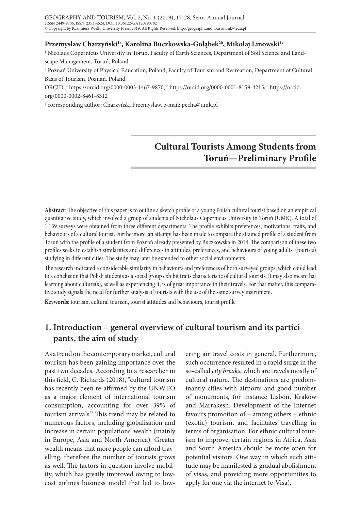### **Przemysław Charzyński1a, Karolina Buczkowska-Gołąbek2b, Mikołaj Linowski1c**

1 Nicolaus Copernicus University in Toruń, Faculty of Earth Sciences, Department of Soil Science and Landscape Management, Toruń, Poland

2 Poznań University of Physical Education, Poland, Faculty of Tourism and Recreation, Department of Cultural Basis of Tourism, Poznań, Poland

ORCID: ª https://orcid.org/0000-0003-1467-9870, <sup>b</sup> https://orcid.org/0000-0001-8159-4215; <sup>c</sup> https://orcid. org/0000-0002-8461-8312

a corresponding author: Charzyński Przemysław, e-mail: pecha@umk.pl

# **Cultural Tourists Among Students from Toruń—Preliminary Profile**

**Abstract**: The objective of this paper is to outline a sketch profile of a young Polish cultural tourist based on an empirical quantitative study, which involved a group of students of Nicholaus Copernicus University in Toruń (UMK). A total of 1,139 surveys were obtained from three different departments. The profile exhibits preferences, motivations, traits, and behaviours of a cultural tourist. Furthermore, an attempt has been made to compare the attained profile of a student from Toruń with the profile of a student from Poznań already presented by Buczkowska in 2014. The comparison of these two profiles seeks to establish similarities and differences in attitudes, preferences, and behaviours of young adults (tourists) studying in different cities. The study may later be extended to other social environments.

The research indicated a considerable similarity in behaviours and preferences of both surveyed groups, which could lead to a conclusion that Polish students as a social group exhibit traits characteristic of cultural tourists. It may also mean that learning about culture(s), as well as experiencing it, is of great importance in their travels. For that matter, this comparative study signals the need for further analysis of tourists with the use of the same survey instrument.

**Keywords**: tourism, cultural tourism, tourist attitudes and behaviours, tourist profile

## **1. Introduction – general overview of cultural tourism and its participants, the aim of study**

As a trend on the contemporary market, cultural tourism has been gaining importance over the past two decades. According to a researcher in this field, G. Richards (2018), "cultural tourism has recently been re-affirmed by the UNWTO as a major element of international tourism consumption, accounting for over 39% of tourism arrivals." This trend may be related to numerous factors, including globalisation and increase in certain populations' wealth (mainly in Europe, Asia and North America). Greater wealth means that more people can afford travelling, therefore the number of tourists grows as well. The factors in question involve mobility, which has greatly improved owing to lowcost airlines business model that led to low-

ering air travel costs in general. Furthermore, such occurrence resulted in a rapid surge in the so-called *city breaks*, which are travels mostly of cultural nature. The destinations are predominantly cities with airports and good number of monuments, for instance Lisbon, Kraków and Marrakesh. Development of the Internet favours promotion of – among others – ethnic (exotic) tourism, and facilitates travelling in terms of organisation. For ethnic cultural tourism to improve, certain regions in Africa, Asia and South America should be more open for potential visitors. One way in which such attitude may be manifested is gradual abolishment of visas, and providing more opportunities to apply for one via the internet (e-Visa).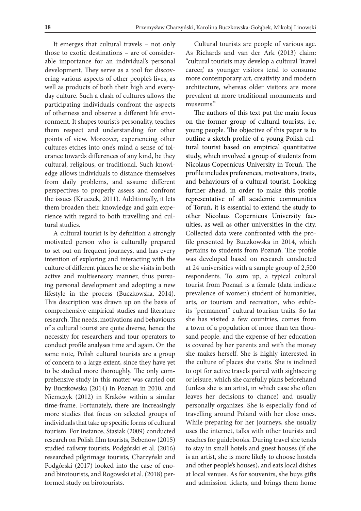It emerges that cultural travels – not only those to exotic destinations – are of considerable importance for an individual's personal development. They serve as a tool for discovering various aspects of other people's lives, as well as products of both their high and everyday culture. Such a clash of cultures allows the participating individuals confront the aspects of otherness and observe a different life environment. It shapes tourist's personality, teaches them respect and understanding for other points of view. Moreover, experiencing other cultures etches into one's mind a sense of tolerance towards differences of any kind, be they cultural, religious, or traditional. Such knowledge allows individuals to distance themselves from daily problems, and assume different perspectives to properly assess and confront the issues (Kruczek, 2011). Additionally, it lets them broaden their knowledge and gain experience with regard to both travelling and cultural studies.

A cultural tourist is by definition a strongly motivated person who is culturally prepared to set out on frequent journeys, and has every intention of exploring and interacting with the culture of different places he or she visits in both active and multisensory manner, thus pursuing personal development and adopting a new lifestyle in the process (Buczkowska, 2014). This description was drawn up on the basis of comprehensive empirical studies and literature research. The needs, motivations and behaviours of a cultural tourist are quite diverse, hence the necessity for researchers and tour operators to conduct profile analyses time and again. On the same note, Polish cultural tourists are a group of concern to a large extent, since they have yet to be studied more thoroughly. The only comprehensive study in this matter was carried out by Buczkowska (2014) in Poznań in 2010, and Niemczyk (2012) in Kraków within a similar time-frame. Fortunately, there are increasingly more studies that focus on selected groups of individuals that take up specific forms of cultural tourism. For instance, Stasiak (2009) conducted research on Polish film tourists, Bebenow (2015) studied railway tourists, Podgórski et al. (2016) researched pilgrimage tourists, Charzyński and Podgórski (2017) looked into the case of enoand birotourists, and Rogowski et al. (2018) performed study on birotourists.

Cultural tourists are people of various age. As Richards and van der Ark (2013) claim: "cultural tourists may develop a cultural 'travel career,' as younger visitors tend to consume more contemporary art, creativity and modern architecture, whereas older visitors are more prevalent at more traditional monuments and museums."

The authors of this text put the main focus on the former group of cultural tourists, i.e. young people. The objective of this paper is to outline a sketch profile of a young Polish cultural tourist based on empirical quantitative study, which involved a group of students from Nicolaus Copernicus University in Toruń. The profile includes preferences, motivations, traits, and behaviours of a cultural tourist. Looking further ahead, in order to make this profile representative of all academic communities of Toruń, it is essential to extend the study to other Nicolaus Copernicus University faculties, as well as other universities in the city. Collected data were confronted with the profile presented by Buczkowska in 2014, which pertains to students from Poznań. The profile was developed based on research conducted at 24 universities with a sample group of 2,500 respondents. To sum up, a typical cultural tourist from Poznań is a female (data indicate prevalence of women) student of humanities, arts, or tourism and recreation, who exhibits "permanent" cultural tourism traits. So far she has visited a few countries, comes from a town of a population of more than ten thousand people, and the expense of her education is covered by her parents and with the money she makes herself. She is highly interested in the culture of places she visits. She is inclined to opt for active travels paired with sightseeing or leisure, which she carefully plans beforehand (unless she is an artist, in which case she often leaves her decisions to chance) and usually personally organizes. She is especially fond of travelling around Poland with her close ones. While preparing for her journeys, she usually uses the internet, talks with other tourists and reaches for guidebooks. During travel she tends to stay in small hotels and guest houses (if she is an artist, she is more likely to choose hostels and other people's houses), and eats local dishes at local venues. As for souvenirs, she buys gifts and admission tickets, and brings them home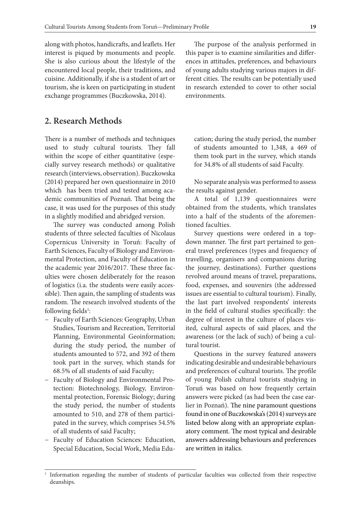along with photos, handicrafts, and leaflets. Her interest is piqued by monuments and people. She is also curious about the lifestyle of the encountered local people, their traditions, and cuisine. Additionally, if she is a student of art or tourism, she is keen on participating in student exchange programmes (Buczkowska, 2014).

### **2. Research Methods**

There is a number of methods and techniques used to study cultural tourists. They fall within the scope of either quantitative (especially survey research methods) or qualitative research (interviews, observation). Buczkowska (2014) prepared her own questionnaire in 2010 which has been tried and tested among academic communities of Poznań. That being the case, it was used for the purposes of this study in a slightly modified and abridged version.

The survey was conducted among Polish students of three selected faculties of Nicolaus Copernicus University in Toruń: Faculty of Earth Sciences, Faculty of Biology and Environmental Protection, and Faculty of Education in the academic year 2016/2017. These three faculties were chosen deliberately for the reason of logistics (i.a. the students were easily accessible). Then again, the sampling of students was random. The research involved students of the following fields<sup>1</sup>:

- − Faculty of Earth Sciences: Geography, Urban Studies, Tourism and Recreation, Territorial Planning, Environmental Geoinformation; during the study period, the number of students amounted to 572, and 392 of them took part in the survey, which stands for 68.5% of all students of said Faculty;
- − Faculty of Biology and Environmental Protection: Biotechnology, Biology, Environmental protection, Forensic Biology; during the study period, the number of students amounted to 510, and 278 of them participated in the survey, which comprises 54.5% of all students of said Faculty;
- − Faculty of Education Sciences: Education, Special Education, Social Work, Media Edu-

The purpose of the analysis performed in this paper is to examine similarities and differences in attitudes, preferences, and behaviours of young adults studying various majors in different cities. The results can be potentially used in research extended to cover to other social environments.

cation; during the study period, the number of students amounted to 1,348, a 469 of them took part in the survey, which stands for 34.8% of all students of said Faculty.

No separate analysis was performed to assess the results against gender.

A total of 1,139 questionnaires were obtained from the students, which translates into a half of the students of the aforementioned faculties.

Survey questions were ordered in a topdown manner. The first part pertained to general travel preferences (types and frequency of travelling, organisers and companions during the journey, destinations). Further questions revolved around means of travel, preparations, food, expenses, and souvenirs (the addressed issues are essential to cultural tourism). Finally, the last part involved respondents' interests in the field of cultural studies specifically: the degree of interest in the culture of places visited, cultural aspects of said places, and the awareness (or the lack of such) of being a cultural tourist.

Questions in the survey featured answers indicating desirable and undesirable behaviours and preferences of cultural tourists. The profile of young Polish cultural tourists studying in Toruń was based on how frequently certain answers were picked (as had been the case earlier in Poznań). The nine paramount questions found in one of Buczkowska's (2014) surveys are listed below along with an appropriate explanatory comment. The most typical and desirable answers addressing behaviours and preferences are written in italics.

<sup>1</sup> Information regarding the number of students of particular faculties was collected from their respective deanships.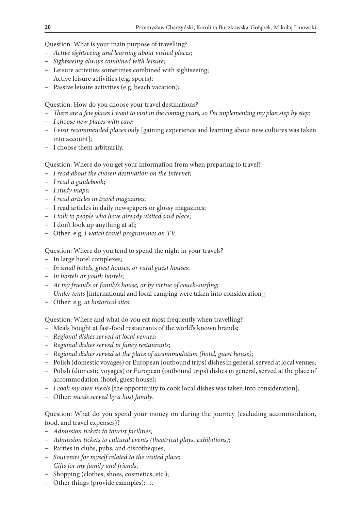Question: What is your main purpose of travelling?

- − *Active sightseeing and learning about visited places*;
- − *Sightseeing always combined with leisure*;
- − Leisure activities sometimes combined with sightseeing;
- − Active leisure activities (e.g. sports);
- − Passive leisure activities (e.g. beach vacation);

Question: How do you choose your travel destinations?

- − *There are a few places I want to visit in the coming years, so I'm implementing my plan step by step;*
- − *I choose new places with care*;
- − *I visit recommended places only* [gaining experience and learning about new cultures was taken into account];
- − I choose them arbitrarily.

Question: Where do you get your information from when preparing to travel?

- − *I read about the chosen destination on the Internet*;
- − *I read a guidebook*;
- − *I study maps*;
- − *I read articles in travel magazines*;
- − I read articles in daily newspapers or glossy magazines;
- − *I talk to people who have already visited said place*;
- − I don't look up anything at all;
- − Other: e.g. *I watch travel programmes on TV.*

Question: Where do you tend to spend the night in your travels?

- − In large hotel complexes;
- − *In small hotels, guest houses, or rural guest houses*;
- − *In hostels or youth hostels*;
- − *At my friend's or family's house, or by virtue of couch-surfing*;
- − *Under tents* [international and local camping were taken into consideration];
- − Other: e.g. *at historical sites*.

Question: Where and what do you eat most frequently when travelling?

- − Meals bought at fast-food restaurants of the world's known brands;
- − *Regional dishes served at local venues*;
- − *Regional dishes served in fancy restaurants*;
- − *Regional dishes served at the place of accommodation (hotel, guest house)*;
- − Polish (domestic voyages) or European (outbound trips) dishes in general, served at local venues;
- − Polish (domestic voyages) or European (outbound trips) dishes in general, served at the place of accommodation (hotel, guest house);
- − *I cook my own meals* [the opportunity to cook local dishes was taken into consideration];
- − Other: *meals served by a host family*.

Question: What do you spend your money on during the journey (excluding accommodation, food, and travel expenses)?

- − *Admission tickets to tourist facilities*;
- − *Admission tickets to cultural events (theatrical plays, exhibitions)*;
- − Parties in clubs, pubs, and discotheques;
- − *Souvenirs for myself related to the visited place*;
- − *Gifts for my family and friends*;
- − Shopping (clothes, shoes, cosmetics, etc.);
- − Other things (provide examples): …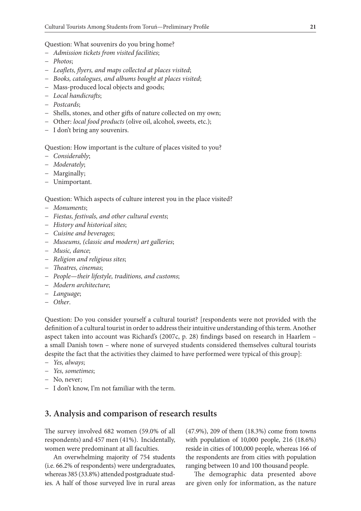Question: What souvenirs do you bring home?

- − *Admission tickets from visited facilities*;
- − *Photos*;
- − *Leaflets, flyers, and maps collected at places visited*;
- − *Books, catalogues, and albums bought at places visited*;
- Mass-produced local objects and goods;
- − *Local handicrafts*;
- − *Postcards*;
- − Shells, stones, and other gifts of nature collected on my own;
- − Other: *local food products* (olive oil, alcohol, sweets, etc.);
- − I don't bring any souvenirs.

Question: How important is the culture of places visited to you?

- − *Considerably*;
- − *Moderately*;
- − Marginally;
- − Unimportant.

#### Question: Which aspects of culture interest you in the place visited?

- − *Monuments*;
- − *Fiestas, festivals, and other cultural events*;
- − *History and historical sites*;
- − *Cuisine and beverages*;
- − *Museums, (classic and modern) art galleries*;
- − *Music, dance*;
- − *Religion and religious sites*;
- − *Theatres, cinemas*;
- − *People—their lifestyle, traditions, and customs*;
- − *Modern architecture*;
- − *Language*;
- − *Other*.

Question: Do you consider yourself a cultural tourist? [respondents were not provided with the definition of a cultural tourist in order to address their intuitive understanding of this term. Another aspect taken into account was Richard's (2007c, p. 28) findings based on research in Haarlem – a small Danish town – where none of surveyed students considered themselves cultural tourists despite the fact that the activities they claimed to have performed were typical of this group]:

- − *Yes, always*;
- − *Yes, sometimes*;
- − No, never;
- − I don't know, I'm not familiar with the term.

### **3. Analysis and comparison of research results**

The survey involved 682 women (59.0% of all respondents) and 457 men (41%). Incidentally, women were predominant at all faculties.

An overwhelming majority of 754 students (i.e. 66.2% of respondents) were undergraduates, whereas 385 (33.8%) attended postgraduate studies. A half of those surveyed live in rural areas

(47.9%), 209 of them (18.3%) come from towns with population of 10,000 people, 216 (18.6%) reside in cities of 100,000 people, whereas 166 of the respondents are from cities with population ranging between 10 and 100 thousand people.

The demographic data presented above are given only for information, as the nature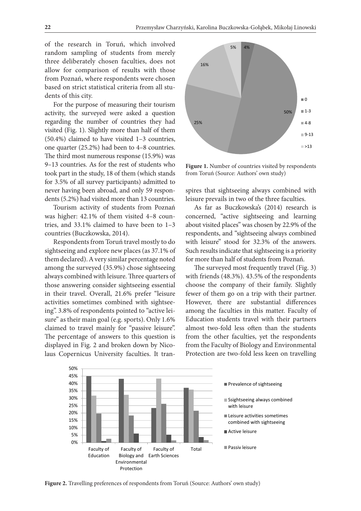of the research in Toruń, which involved random sampling of students from merely three deliberately chosen faculties, does not allow for comparison of results with those from Poznań, where respondents were chosen based on strict statistical criteria from all students of this city.

For the purpose of measuring their tourism activity, the surveyed were asked a question regarding the number of countries they had visited (Fig. 1). Slightly more than half of them (50.4%) claimed to have visited 1–3 countries, one quarter (25.2%) had been to 4-8 countries. The third most numerous response (15.9%) was 9–13 countries. As for the rest of students who took part in the study, 18 of them (which stands for 3.5% of all survey participants) admitted to never having been abroad, and only 59 respondents (5.2%) had visited more than 13 countries.

Tourism activity of students from Poznań was higher: 42.1% of them visited 4–8 countries, and 33.1% claimed to have been to 1–3 countries (Buczkowska, 2014).

Respondents from Toruń travel mostly to do sightseeing and explore new places (as 37.1% of them declared). A very similar percentage noted among the surveyed (35.9%) chose sightseeing always combined with leisure. Three quarters of those answering consider sightseeing essential in their travel. Overall, 21.6% prefer "leisure activities sometimes combined with sightseeing". 3.8% of respondents pointed to "active leisure" as their main goal (e.g. sports). Only 1.6% claimed to travel mainly for "passive leisure". The percentage of answers to this question is displayed in Fig. 2 and broken down by Nicolaus Copernicus University faculties. It tran-



Figure 1. Number of countries visited by respondents from Toruń (Source: Authors' own study)

spires that sightseeing always combined with leisure prevails in two of the three faculties.

As far as Buczkowska's (2014) research is concerned, "active sightseeing and learning about visited places" was chosen by 22.9% of the respondents, and "sightseeing always combined with leisure" stood for 32.3% of the answers. Such results indicate that sightseeing is a priority for more than half of students from Poznań.

The surveyed most frequently travel (Fig. 3) with friends (48.3%). 43.5% of the respondents choose the company of their family. Slightly fewer of them go on a trip with their partner. However, there are substantial differences among the faculties in this matter. Faculty of Education students travel with their partners almost two-fold less often than the students from the other faculties, yet the respondents from the Faculty of Biology and Environmental Protection are two-fold less keen on travelling



**Figure 2.** Travelling preferences of respondents from Toruń (Source: Authors' own study)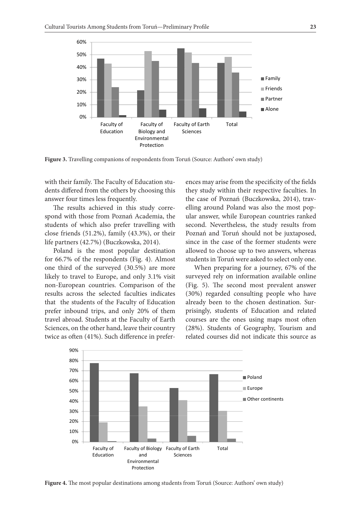

**Figure 3.** Travelling companions of respondents from Toruń (Source: Authors' own study)

with their family. The Faculty of Education students differed from the others by choosing this answer four times less frequently.

The results achieved in this study correspond with those from Poznań Academia, the students of which also prefer travelling with close friends (51.2%), family (43.3%), or their life partners (42.7%) (Buczkowska, 2014).

Poland is the most popular destination for 66.7% of the respondents (Fig. 4). Almost one third of the surveyed (30.5%) are more likely to travel to Europe, and only 3.1% visit non-European countries. Comparison of the results across the selected faculties indicates that the students of the Faculty of Education prefer inbound trips, and only 20% of them travel abroad. Students at the Faculty of Earth Sciences, on the other hand, leave their country twice as often (41%). Such difference in preferences may arise from the specificity of the fields they study within their respective faculties. In the case of Poznań (Buczkowska, 2014), travelling around Poland was also the most popular answer, while European countries ranked second. Nevertheless, the study results from Poznań and Toruń should not be juxtaposed, since in the case of the former students were allowed to choose up to two answers, whereas students in Toruń were asked to select only one.

When preparing for a journey, 67% of the surveyed rely on information available online (Fig. 5). The second most prevalent answer (30%) regarded consulting people who have already been to the chosen destination. Surprisingly, students of Education and related courses are the ones using maps most often (28%). Students of Geography, Tourism and related courses did not indicate this source as



**Figure 4.** The most popular destinations among students from Toruń (Source: Authors' own study)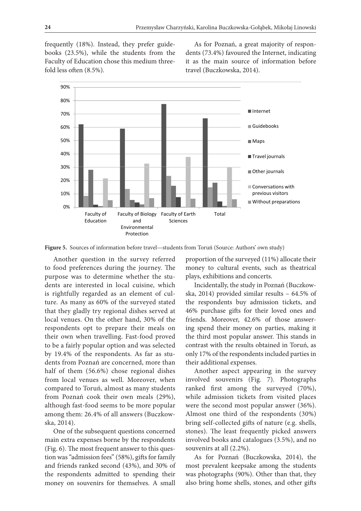frequently (18%). Instead, they prefer guidebooks (23.5%), while the students from the Faculty of Education chose this medium threefold less often (8.5%).

As for Poznań, a great majority of respondents (73.4%) favoured the Internet, indicating it as the main source of information before travel (Buczkowska, 2014).



**Figure 5.** Sources of information before travel—students from Toruń (Source: Authors' own study)

Another question in the survey referred to food preferences during the journey. The purpose was to determine whether the students are interested in local cuisine, which is rightfully regarded as an element of culture. As many as 60% of the surveyed stated that they gladly try regional dishes served at local venues. On the other hand, 30% of the respondents opt to prepare their meals on their own when travelling. Fast-food proved to be a fairly popular option and was selected by 19.4% of the respondents. As far as students from Poznań are concerned, more than half of them (56.6%) chose regional dishes from local venues as well. Moreover, when compared to Toruń, almost as many students from Poznań cook their own meals (29%), although fast-food seems to be more popular among them: 26.4% of all answers (Buczkowska, 2014).

One of the subsequent questions concerned main extra expenses borne by the respondents (Fig. 6). The most frequent answer to this question was "admission fees" (58%), gifts for family and friends ranked second (43%), and 30% of the respondents admitted to spending their money on souvenirs for themselves. A small

proportion of the surveyed (11%) allocate their money to cultural events, such as theatrical plays, exhibitions and concerts.

Incidentally, the study in Poznań (Buczkowska, 2014) provided similar results – 64.5% of the respondents buy admission tickets, and 46% purchase gifts for their loved ones and friends. Moreover, 42.6% of those answering spend their money on parties, making it the third most popular answer. This stands in contrast with the results obtained in Toruń, as only 17% of the respondents included parties in their additional expenses.

Another aspect appearing in the survey involved souvenirs (Fig. 7). Photographs ranked first among the surveyed (70%), while admission tickets from visited places were the second most popular answer (36%). Almost one third of the respondents (30%) bring self-collected gifts of nature (e.g. shells, stones). The least frequently picked answers involved books and catalogues (3.5%), and no souvenirs at all (2.2%).

As for Poznań (Buczkowska, 2014), the most prevalent keepsake among the students was photographs (90%). Other than that, they also bring home shells, stones, and other gifts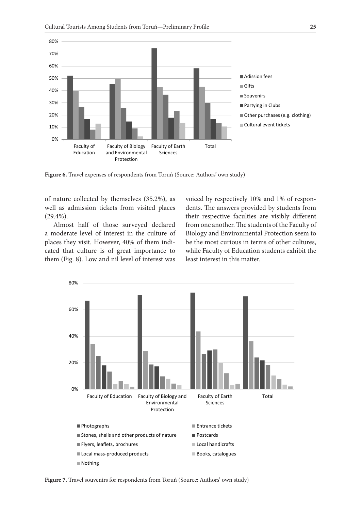

Figure 6. Travel expenses of respondents from Toruń (Source: Authors' own study)

of nature collected by themselves (35.2%), as well as admission tickets from visited places (29.4%).

Almost half of those surveyed declared a moderate level of interest in the culture of places they visit. However, 40% of them indicated that culture is of great importance to them (Fig. 8). Low and nil level of interest was

voiced by respectively 10% and 1% of respondents. The answers provided by students from their respective faculties are visibly different from one another. The students of the Faculty of Biology and Environmental Protection seem to be the most curious in terms of other cultures, while Faculty of Education students exhibit the least interest in this matter.



**Figure 7.** Travel souvenirs for respondents from Toruń (Source: Authors' own study)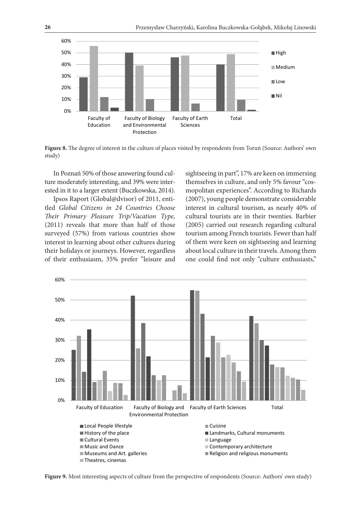

**Figure 8.** The degree of interest in the culture of places visited by respondents from Toruń (Source: Authors' own study)

In Poznań 50% of those answering found culture moderately interesting, and 39% were interested in it to a larger extent (Buczkowska, 2014).

Ipsos Raport (Global@dvisor) of 2011, entitled *Global Citizens in 24 Countries Choose Their Primary Pleasure Trip/Vacation Type,* (2011) reveals that more than half of those surveyed (57%) from various countries show interest in learning about other cultures during their holidays or journeys. However, regardless of their enthusiasm, 35% prefer "leisure and sightseeing in part", 17% are keen on immersing themselves in culture, and only 5% favour "cosmopolitan experiences". According to Richards (2007), young people demonstrate considerable interest in cultural tourism, as nearly 40% of cultural tourists are in their twenties. Barbier (2005) carried out research regarding cultural tourism among French tourists. Fewer than half of them were keen on sightseeing and learning about local culture in their travels. Among them one could find not only "culture enthusiasts,"



**Figure 9.** Most interesting aspects of culture from the perspective of respondents (Source: Authors' own study)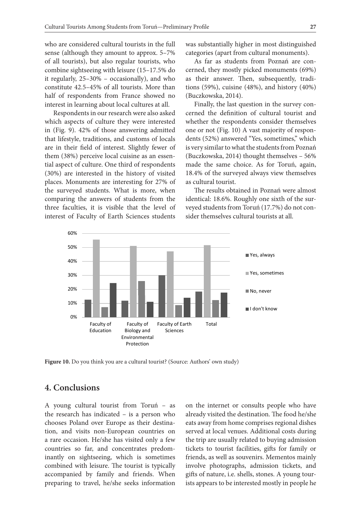who are considered cultural tourists in the full sense (although they amount to approx. 5–7% of all tourists), but also regular tourists, who combine sightseeing with leisure (15–17.5% do it regularly, 25–30% – occasionally), and who constitute 42.5–45% of all tourists. More than half of respondents from France showed no interest in learning about local cultures at all.

Respondents in our research were also asked which aspects of culture they were interested in (Fig. 9). 42% of those answering admitted that lifestyle, traditions, and customs of locals are in their field of interest. Slightly fewer of them (38%) perceive local cuisine as an essential aspect of culture. One third of respondents (30%) are interested in the history of visited places. Monuments are interesting for 27% of the surveyed students. What is more, when comparing the answers of students from the three faculties, it is visible that the level of interest of Faculty of Earth Sciences students

was substantially higher in most distinguished categories (apart from cultural monuments).

As far as students from Poznań are concerned, they mostly picked monuments (69%) as their answer. Then, subsequently, traditions (59%), cuisine (48%), and history (40%) (Buczkowska, 2014).

Finally, the last question in the survey concerned the definition of cultural tourist and whether the respondents consider themselves one or not (Fig. 10) A vast majority of respondents (52%) answered "Yes, sometimes," which is very similar to what the students from Poznań (Buczkowska, 2014) thought themselves – 56% made the same choice. As for Toruń, again, 18.4% of the surveyed always view themselves as cultural tourist.

The results obtained in Poznań were almost identical: 18.6%. Roughly one sixth of the surveyed students from Toruń (17.7%) do not consider themselves cultural tourists at all.



Figure 10. Do you think you are a cultural tourist? (Source: Authors' own study)

### **4. Conclusions**

A young cultural tourist from Toruń – as the research has indicated – is a person who chooses Poland over Europe as their destination, and visits non-European countries on a rare occasion. He/she has visited only a few countries so far, and concentrates predominantly on sightseeing, which is sometimes combined with leisure. The tourist is typically accompanied by family and friends. When preparing to travel, he/she seeks information on the internet or consults people who have already visited the destination. The food he/she eats away from home comprises regional dishes served at local venues. Additional costs during the trip are usually related to buying admission tickets to tourist facilities, gifts for family or friends, as well as souvenirs. Mementos mainly involve photographs, admission tickets, and gifts of nature, i.e. shells, stones. A young tourists appears to be interested mostly in people he